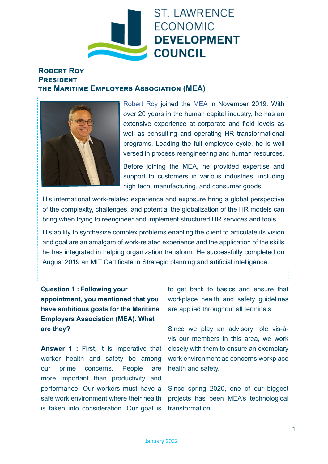

## **Robert Roy President the Maritime Employers Association (MEA)**



[Robert Roy](https://www.linkedin.com/in/robertroyhr) joined the [MEA](https://www.linkedin.com/company/association-des-employeurs-maritimes/) in November 2019. With over 20 years in the human capital industry, he has an extensive experience at corporate and field levels as well as consulting and operating HR transformational programs. Leading the full employee cycle, he is well versed in process reengineering and human resources. Before joining the MEA, he provided expertise and support to customers in various industries, including high tech, manufacturing, and consumer goods.

His international work-related experience and exposure bring a global perspective of the complexity, challenges, and potential the globalization of the HR models can bring when trying to reengineer and implement structured HR services and tools.

His ability to synthesize complex problems enabling the client to articulate its vision and goal are an amalgam of work-related experience and the application of the skills he has integrated in helping organization transform. He successfully completed on August 2019 an MIT Certificate in Strategic planning and artificial intelligence.

**Question 1 : Following your appointment, you mentioned that you have ambitious goals for the Maritime Employers Association (MEA). What are they?** 

**Answer 1 :** First, it is imperative that worker health and safety be among our prime concerns. People are more important than productivity and performance. Our workers must have a safe work environment where their health is taken into consideration. Our goal is

to get back to basics and ensure that workplace health and safety guidelines are applied throughout all terminals.

Since we play an advisory role vis-àvis our members in this area, we work closely with them to ensure an exemplary work environment as concerns workplace health and safety.

Since spring 2020, one of our biggest projects has been MEA's technological transformation.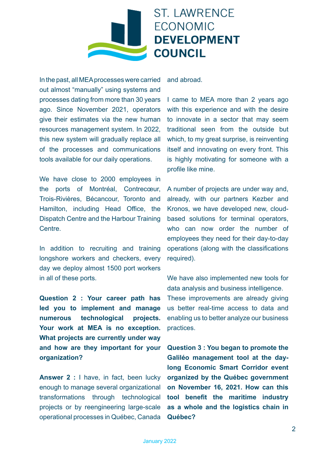## **ST. LAWRENCE ECONOMIC DEVELOPMENT COUNCIL**

In the past, all MEA processes were carried out almost "manually" using systems and processes dating from more than 30 years ago. Since November 2021, operators give their estimates via the new human resources management system. In 2022, this new system will gradually replace all of the processes and communications tools available for our daily operations.

We have close to 2000 employees in the ports of Montréal, Contrecœur, Trois-Rivières, Bécancour, Toronto and Hamilton, including Head Office, the Dispatch Centre and the Harbour Training **Centre** 

In addition to recruiting and training longshore workers and checkers, every day we deploy almost 1500 port workers in all of these ports.

**Question 2 : Your career path has led you to implement and manage numerous technological projects. Your work at MEA is no exception. What projects are currently under way and how are they important for your organization?**

**Answer 2 :** I have, in fact, been lucky enough to manage several organizational transformations through technological projects or by reengineering large-scale operational processes in Québec, Canada and abroad.

I came to MEA more than 2 years ago with this experience and with the desire to innovate in a sector that may seem traditional seen from the outside but which, to my great surprise, is reinventing itself and innovating on every front. This is highly motivating for someone with a profile like mine.

A number of projects are under way and, already, with our partners Kezber and Kronos, we have developed new, cloudbased solutions for terminal operators, who can now order the number of employees they need for their day-to-day operations (along with the classifications required).

We have also implemented new tools for data analysis and business intelligence. These improvements are already giving us better real-time access to data and enabling us to better analyze our business practices.

**Question 3 : You began to promote the Galiléo management tool at the daylong Economic Smart Corridor event organized by the Québec government on November 16, 2021. How can this tool benefit the maritime industry as a whole and the logistics chain in Québec?**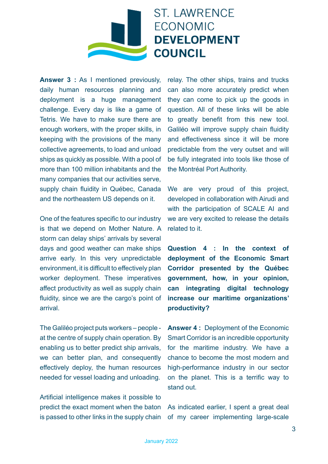

**Answer 3 :** As I mentioned previously, daily human resources planning and deployment is a huge management challenge. Every day is like a game of Tetris. We have to make sure there are enough workers, with the proper skills, in keeping with the provisions of the many collective agreements, to load and unload ships as quickly as possible. With a pool of more than 100 million inhabitants and the many companies that our activities serve, supply chain fluidity in Québec, Canada and the northeastern US depends on it.

One of the features specific to our industry is that we depend on Mother Nature. A storm can delay ships' arrivals by several days and good weather can make ships arrive early. In this very unpredictable environment, it is difficult to effectively plan worker deployment. These imperatives affect productivity as well as supply chain fluidity, since we are the cargo's point of arrival.

The Galiléo project puts workers – people at the centre of supply chain operation. By enabling us to better predict ship arrivals, we can better plan, and consequently effectively deploy, the human resources needed for vessel loading and unloading.

Artificial intelligence makes it possible to predict the exact moment when the baton is passed to other links in the supply chain relay. The other ships, trains and trucks can also more accurately predict when they can come to pick up the goods in question. All of these links will be able to greatly benefit from this new tool. Galiléo will improve supply chain fluidity and effectiveness since it will be more predictable from the very outset and will be fully integrated into tools like those of the Montréal Port Authority.

We are very proud of this project, developed in collaboration with Airudi and with the participation of SCALE AI and we are very excited to release the details related to it.

**Question 4 : In the context of deployment of the Economic Smart Corridor presented by the Québec government, how, in your opinion, can integrating digital technology increase our maritime organizations' productivity?**

**Answer 4 :** Deployment of the Economic Smart Corridor is an incredible opportunity for the maritime industry. We have a chance to become the most modern and high-performance industry in our sector on the planet. This is a terrific way to stand out.

As indicated earlier, I spent a great deal of my career implementing large-scale